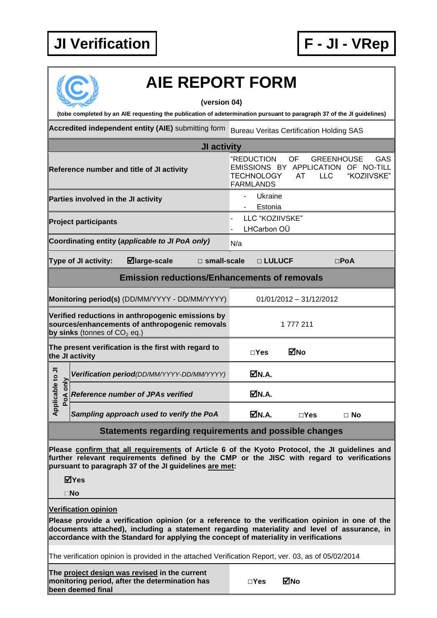## **JI Verification F - JI - VRep**



## **AIE REPORT FORM**

**(version 04)**

**(tobe completed by an AIE requesting the publication of adetermination pursuant to paragraph 37 of the JI guidelines)**

Accredited independent entity (AIE) submitting form Bureau Veritas Certification Holding SAS

| JI activity                                                                                                                                                                                                                                           |                                                                                                                                                                 |  |  |  |
|-------------------------------------------------------------------------------------------------------------------------------------------------------------------------------------------------------------------------------------------------------|-----------------------------------------------------------------------------------------------------------------------------------------------------------------|--|--|--|
| Reference number and title of JI activity                                                                                                                                                                                                             | "REDUCTION<br>OF<br>GAS<br><b>GREENHOUSE</b><br>EMISSIONS BY APPLICATION OF NO-TILL<br>"KOZIIVSKE"<br><b>TECHNOLOGY</b><br><b>LLC</b><br>AT<br><b>FARMLANDS</b> |  |  |  |
| Parties involved in the JI activity                                                                                                                                                                                                                   | Ukraine<br>$\overline{\phantom{0}}$<br>Estonia                                                                                                                  |  |  |  |
| <b>Project participants</b>                                                                                                                                                                                                                           | LLC "KOZIIVSKE"<br>LHCarbon OÜ                                                                                                                                  |  |  |  |
| Coordinating entity (applicable to JI PoA only)                                                                                                                                                                                                       | N/a                                                                                                                                                             |  |  |  |
| $\boxdot$ large-scale<br>Type of JI activity:<br>$\square$ small-scale                                                                                                                                                                                | □ LULUCF<br>$\square$ PoA                                                                                                                                       |  |  |  |
| <b>Emission reductions/Enhancements of removals</b>                                                                                                                                                                                                   |                                                                                                                                                                 |  |  |  |
| Monitoring period(s) (DD/MM/YYYY - DD/MM/YYYY)                                                                                                                                                                                                        | 01/01/2012 - 31/12/2012                                                                                                                                         |  |  |  |
| Verified reductions in anthropogenic emissions by<br>sources/enhancements of anthropogenic removals<br>by sinks (tonnes of $CO2$ eq.)                                                                                                                 | 1 777 211                                                                                                                                                       |  |  |  |
| The present verification is the first with regard to<br>the JI activity                                                                                                                                                                               | ⊠No<br>$\square$ Yes                                                                                                                                            |  |  |  |
| Verification period(DD/MM/YYYY-DD/MM/YYYY)                                                                                                                                                                                                            | ØN.A.                                                                                                                                                           |  |  |  |
| Applicable to JI<br>PoA only<br><b>Reference number of JPAs verified</b>                                                                                                                                                                              | ØN.A.                                                                                                                                                           |  |  |  |
| Sampling approach used to verify the PoA                                                                                                                                                                                                              | ØN.A.<br>$\square$ Yes<br>$\Box$ No                                                                                                                             |  |  |  |
| Statements regarding requirements and possible changes                                                                                                                                                                                                |                                                                                                                                                                 |  |  |  |
| Please confirm that all requirements of Article 6 of the Kyoto Protocol, the JI guidelines and<br>further relevant requirements defined by the CMP or the JISC with regard to verifications<br>pursuant to paragraph 37 of the JI guidelines are met: |                                                                                                                                                                 |  |  |  |

**Yes**

**No**

**Verification opinion**

**Please provide a verification opinion (or a reference to the verification opinion in one of the documents attached), including a statement regarding materiality and level of assurance, in accordance with the Standard for applying the concept of materiality in verifications**

The verification opinion is provided in the attached Verification Report, ver. 03, as of 05/02/2014

**The project design was revised in the current monitoring period, after the determination has been deemed final**